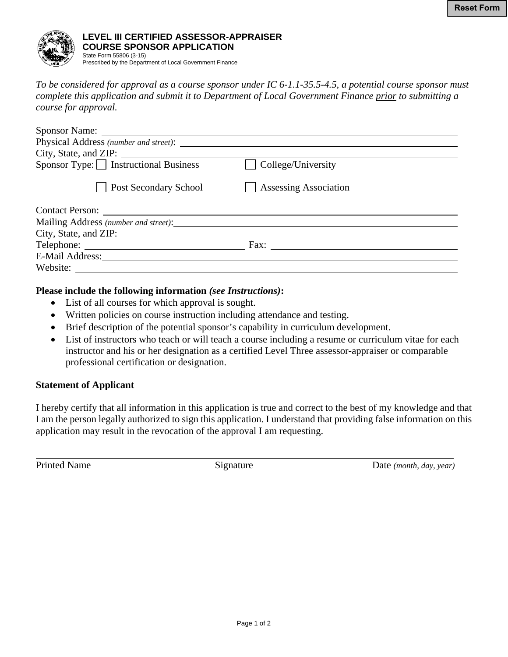

*To be considered for approval as a course sponsor under IC 6-1.1-35.5-4.5, a potential course sponsor must complete this application and submit it to Department of Local Government Finance prior to submitting a course for approval.* 

| Sponsor Name:                          |                              |
|----------------------------------------|------------------------------|
|                                        |                              |
|                                        |                              |
| $Sponsor Type:$ Instructional Business | College/University           |
| <b>Post Secondary School</b>           | <b>Assessing Association</b> |
|                                        |                              |
|                                        |                              |
|                                        |                              |
|                                        | Fax:                         |
|                                        |                              |
| Website:                               |                              |

## **Please include the following information** *(see Instructions)***:**

- List of all courses for which approval is sought.
- Written policies on course instruction including attendance and testing.
- Brief description of the potential sponsor's capability in curriculum development.
- List of instructors who teach or will teach a course including a resume or curriculum vitae for each instructor and his or her designation as a certified Level Three assessor-appraiser or comparable professional certification or designation.

## **Statement of Applicant**

I hereby certify that all information in this application is true and correct to the best of my knowledge and that I am the person legally authorized to sign this application. I understand that providing false information on this application may result in the revocation of the approval I am requesting.

 $\overline{a}$ 

Printed Name Signature Signature Date *(month, day, year)*